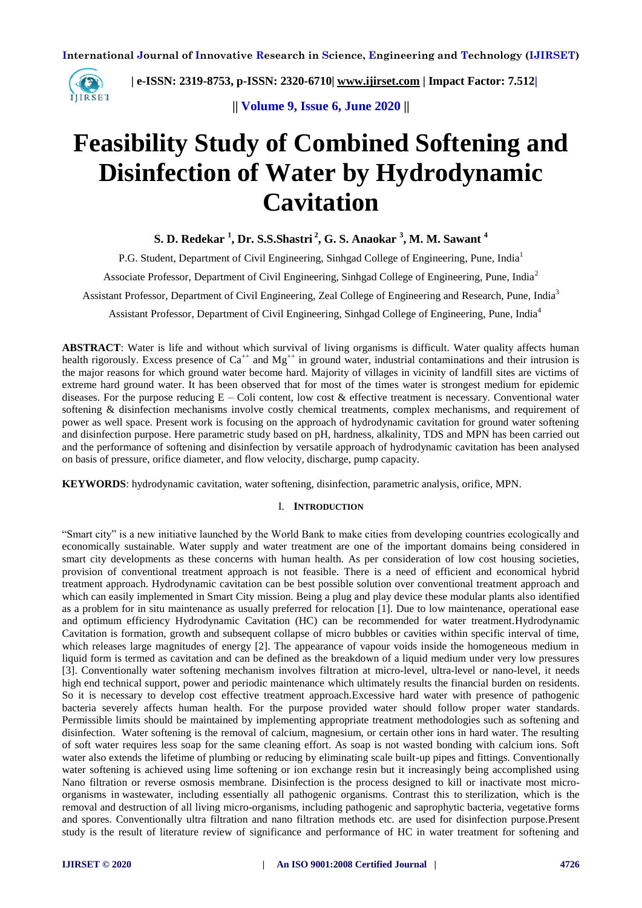

 **| e-ISSN: 2319-8753, p-ISSN: 2320-6710| [www.ijirset.com](http://www.ijirset.com/) | Impact Factor: 7.512|**

**|| Volume 9, Issue 6, June 2020 ||** 

# **Feasibility Study of Combined Softening and Disinfection of Water by Hydrodynamic Cavitation**

**S. D. Redekar <sup>1</sup> , Dr. S.S.Shastri <sup>2</sup> , G. S. Anaokar <sup>3</sup> , M. M. Sawant <sup>4</sup>**

P.G. Student, Department of Civil Engineering, Sinhgad College of Engineering, Pune, India<sup>1</sup> Associate Professor, Department of Civil Engineering, Sinhgad College of Engineering, Pune, India<sup>2</sup> Assistant Professor, Department of Civil Engineering, Zeal College of Engineering and Research, Pune, India<sup>3</sup> Assistant Professor, Department of Civil Engineering, Sinhgad College of Engineering, Pune, India<sup>4</sup>

**ABSTRACT**: Water is life and without which survival of living organisms is difficult. Water quality affects human health rigorously. Excess presence of  $Ca^{++}$  and  $Mg^{++}$  in ground water, industrial contaminations and their intrusion is the major reasons for which ground water become hard. Majority of villages in vicinity of landfill sites are victims of extreme hard ground water. It has been observed that for most of the times water is strongest medium for epidemic diseases. For the purpose reducing  $E -$ Coli content, low cost & effective treatment is necessary. Conventional water softening & disinfection mechanisms involve costly chemical treatments, complex mechanisms, and requirement of power as well space. Present work is focusing on the approach of hydrodynamic cavitation for ground water softening and disinfection purpose. Here parametric study based on pH, hardness, alkalinity, TDS and MPN has been carried out and the performance of softening and disinfection by versatile approach of hydrodynamic cavitation has been analysed on basis of pressure, orifice diameter, and flow velocity, discharge, pump capacity.

**KEYWORDS**: hydrodynamic cavitation, water softening, disinfection, parametric analysis, orifice, MPN.

#### I. **INTRODUCTION**

"Smart city" is a new initiative launched by the World Bank to make cities from developing countries ecologically and economically sustainable. Water supply and water treatment are one of the important domains being considered in smart city developments as these concerns with human health. As per consideration of low cost housing societies, provision of conventional treatment approach is not feasible. There is a need of efficient and economical hybrid treatment approach. Hydrodynamic cavitation can be best possible solution over conventional treatment approach and which can easily implemented in Smart City mission. Being a plug and play device these modular plants also identified as a problem for in situ maintenance as usually preferred for relocation [1]. Due to low maintenance, operational ease and optimum efficiency Hydrodynamic Cavitation (HC) can be recommended for water treatment.Hydrodynamic Cavitation is formation, growth and subsequent collapse of micro bubbles or cavities within specific interval of time, which releases large magnitudes of energy [2]. The appearance of vapour voids inside the homogeneous medium in liquid form is termed as cavitation and can be defined as the breakdown of a liquid medium under very low pressures [3]. Conventionally water softening mechanism involves filtration at micro-level, ultra-level or nano-level, it needs high end technical support, power and periodic maintenance which ultimately results the financial burden on residents. So it is necessary to develop cost effective treatment approach.Excessive hard water with presence of pathogenic bacteria severely affects human health. For the purpose provided water should follow proper water standards. Permissible limits should be maintained by implementing appropriate treatment methodologies such as softening and disinfection. Water softening is the removal of calcium, magnesium, or certain other ions in hard water. The resulting of soft water requires less soap for the same cleaning effort. As soap is not wasted bonding with calcium ions. Soft water also extends the lifetime of plumbing or reducing by eliminating scale built-up pipes and fittings. Conventionally water softening is achieved using lime softening or ion exchange resin but it increasingly being accomplished using Nano filtration or reverse osmosis membrane. Disinfection is the process designed to kill or inactivate most microorganisms in wastewater, including essentially all pathogenic organisms. Contrast this to sterilization, which is the removal and destruction of all living micro-organisms, including pathogenic and saprophytic bacteria, vegetative forms and spores. Conventionally ultra filtration and nano filtration methods etc. are used for disinfection purpose.Present study is the result of literature review of significance and performance of HC in water treatment for softening and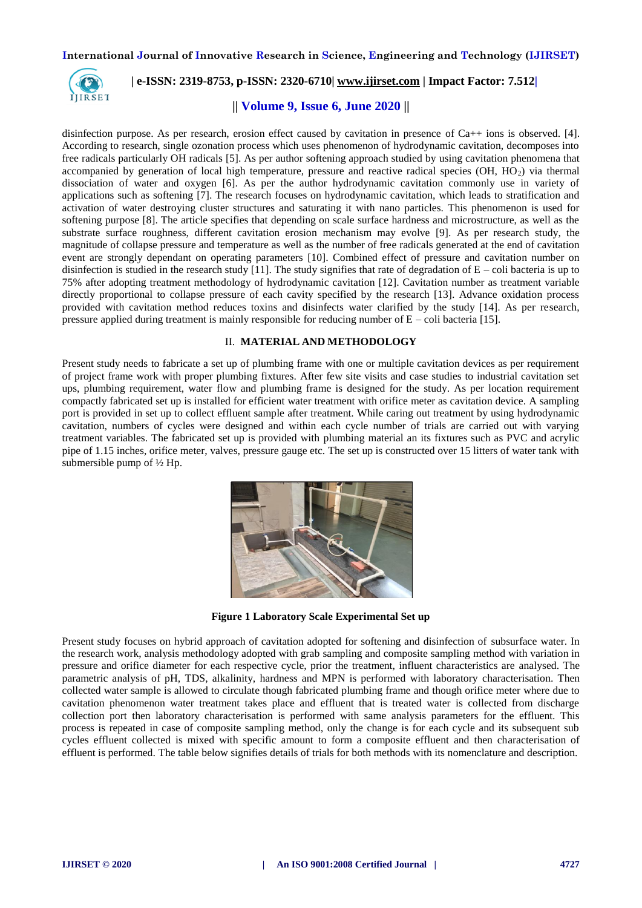

#### **| e-ISSN: 2319-8753, p-ISSN: 2320-6710| [www.ijirset.com](http://www.ijirset.com/) | Impact Factor: 7.512|**

#### **|| Volume 9, Issue 6, June 2020 ||**

disinfection purpose. As per research, erosion effect caused by cavitation in presence of Ca++ ions is observed. [4]. According to research, single ozonation process which uses phenomenon of hydrodynamic cavitation, decomposes into free radicals particularly OH radicals [5]. As per author softening approach studied by using cavitation phenomena that accompanied by generation of local high temperature, pressure and reactive radical species (OH,  $HO<sub>2</sub>$ ) via thermal dissociation of water and oxygen [6]. As per the author hydrodynamic cavitation commonly use in variety of applications such as softening [7]. The research focuses on hydrodynamic cavitation, which leads to stratification and activation of water destroying cluster structures and saturating it with nano particles. This phenomenon is used for softening purpose [8]. The article specifies that depending on scale surface hardness and microstructure, as well as the substrate surface roughness, different cavitation erosion mechanism may evolve [9]. As per research study, the magnitude of collapse pressure and temperature as well as the number of free radicals generated at the end of cavitation event are strongly dependant on operating parameters [10]. Combined effect of pressure and cavitation number on disinfection is studied in the research study [11]. The study signifies that rate of degradation of  $E -$ coli bacteria is up to 75% after adopting treatment methodology of hydrodynamic cavitation [12]. Cavitation number as treatment variable directly proportional to collapse pressure of each cavity specified by the research [13]. Advance oxidation process provided with cavitation method reduces toxins and disinfects water clarified by the study [14]. As per research, pressure applied during treatment is mainly responsible for reducing number of  $E - \text{coli bacteria}$  [15].

#### II. **MATERIAL AND METHODOLOGY**

Present study needs to fabricate a set up of plumbing frame with one or multiple cavitation devices as per requirement of project frame work with proper plumbing fixtures. After few site visits and case studies to industrial cavitation set ups, plumbing requirement, water flow and plumbing frame is designed for the study. As per location requirement compactly fabricated set up is installed for efficient water treatment with orifice meter as cavitation device. A sampling port is provided in set up to collect effluent sample after treatment. While caring out treatment by using hydrodynamic cavitation, numbers of cycles were designed and within each cycle number of trials are carried out with varying treatment variables. The fabricated set up is provided with plumbing material an its fixtures such as PVC and acrylic pipe of 1.15 inches, orifice meter, valves, pressure gauge etc. The set up is constructed over 15 litters of water tank with submersible pump of ½ Hp.



**Figure 1 Laboratory Scale Experimental Set up**

Present study focuses on hybrid approach of cavitation adopted for softening and disinfection of subsurface water. In the research work, analysis methodology adopted with grab sampling and composite sampling method with variation in pressure and orifice diameter for each respective cycle, prior the treatment, influent characteristics are analysed. The parametric analysis of pH, TDS, alkalinity, hardness and MPN is performed with laboratory characterisation. Then collected water sample is allowed to circulate though fabricated plumbing frame and though orifice meter where due to cavitation phenomenon water treatment takes place and effluent that is treated water is collected from discharge collection port then laboratory characterisation is performed with same analysis parameters for the effluent. This process is repeated in case of composite sampling method, only the change is for each cycle and its subsequent sub cycles effluent collected is mixed with specific amount to form a composite effluent and then characterisation of effluent is performed. The table below signifies details of trials for both methods with its nomenclature and description.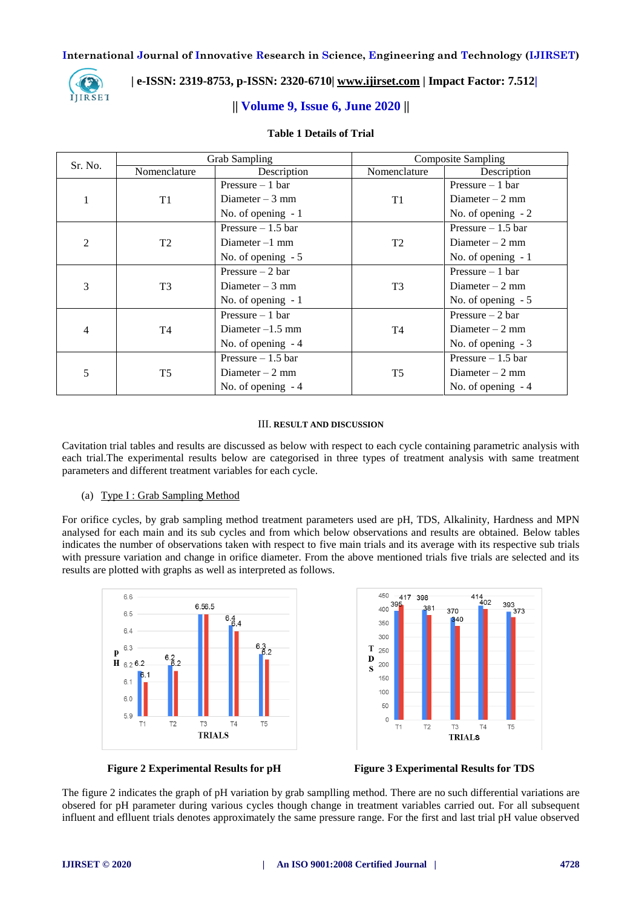

#### **| e-ISSN: 2319-8753, p-ISSN: 2320-6710| [www.ijirset.com](http://www.ijirset.com/) | Impact Factor: 7.512|**

#### **|| Volume 9, Issue 6, June 2020 ||**

#### **Table 1 Details of Trial**

| Sr. No.        | <b>Grab Sampling</b> |                     | <b>Composite Sampling</b> |                     |
|----------------|----------------------|---------------------|---------------------------|---------------------|
|                | Nomenclature         | Description         | Nomenclature              | Description         |
|                | T1                   | Pressure $-1$ bar   |                           | Pressure $-1$ bar   |
|                |                      | Diameter $-3$ mm    | T <sub>1</sub>            | Diameter $-2$ mm    |
|                |                      | No. of opening $-1$ |                           | No. of opening $-2$ |
| $\overline{c}$ | T <sub>2</sub>       | Pressure $-1.5$ bar |                           | Pressure $-1.5$ bar |
|                |                      | Diameter $-1$ mm    | T <sub>2</sub>            | Diameter $-2$ mm    |
|                |                      | No. of opening $-5$ |                           | No. of opening $-1$ |
| 3              | T <sub>3</sub>       | Pressure $-2$ bar   |                           | Pressure $-1$ bar   |
|                |                      | Diameter $-3$ mm    | T <sub>3</sub>            | Diameter $-2$ mm    |
|                |                      | No. of opening $-1$ |                           | No. of opening $-5$ |
| 4              | T4                   | Pressure $-1$ bar   |                           | Pressure $-2$ bar   |
|                |                      | Diameter $-1.5$ mm  | T <sub>4</sub>            | Diameter $-2$ mm    |
|                |                      | No. of opening $-4$ |                           | No. of opening $-3$ |
| 5              | T <sub>5</sub>       | Pressure $-1.5$ bar | T <sub>5</sub>            | Pressure $-1.5$ bar |
|                |                      | Diameter $-2$ mm    |                           | Diameter $-2$ mm    |
|                |                      | No. of opening $-4$ |                           | No. of opening $-4$ |

#### III. **RESULT AND DISCUSSION**

Cavitation trial tables and results are discussed as below with respect to each cycle containing parametric analysis with each trial.The experimental results below are categorised in three types of treatment analysis with same treatment parameters and different treatment variables for each cycle.

#### (a) Type I : Grab Sampling Method

For orifice cycles, by grab sampling method treatment parameters used are pH, TDS, Alkalinity, Hardness and MPN analysed for each main and its sub cycles and from which below observations and results are obtained. Below tables indicates the number of observations taken with respect to five main trials and its average with its respective sub trials with pressure variation and change in orifice diameter. From the above mentioned trials five trials are selected and its results are plotted with graphs as well as interpreted as follows.





**Figure 2 Experimental Results for pH Figure 3 Experimental Results for TDS**

The figure 2 indicates the graph of pH variation by grab samplling method. There are no such differential variations are obsered for pH parameter during various cycles though change in treatment variables carried out. For all subsequent influent and eflluent trials denotes approximately the same pressure range. For the first and last trial pH value observed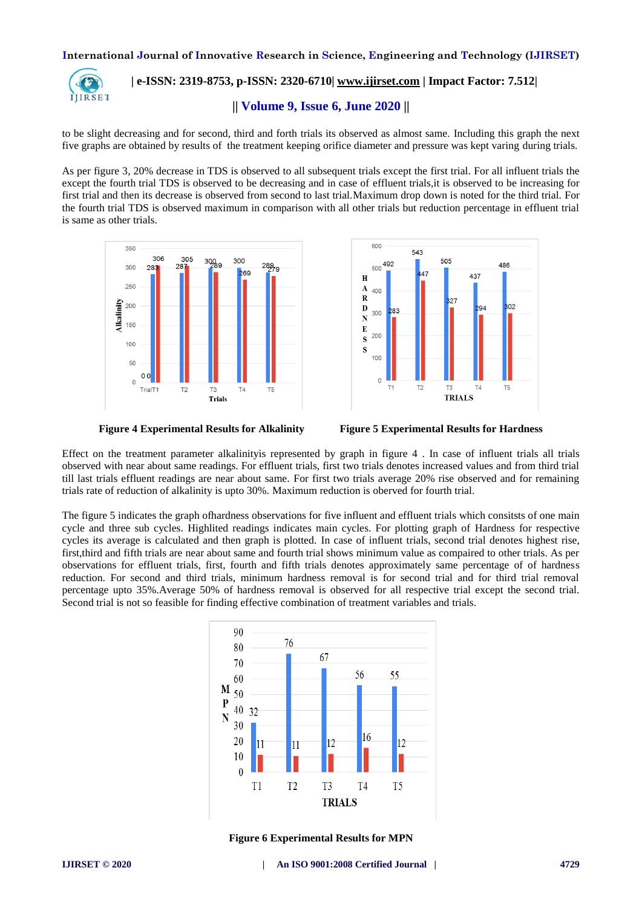

## **| e-ISSN: 2319-8753, p-ISSN: 2320-6710| [www.ijirset.com](http://www.ijirset.com/) | Impact Factor: 7.512|**

**|| Volume 9, Issue 6, June 2020 ||** 

to be slight decreasing and for second, third and forth trials its observed as almost same. Including this graph the next five graphs are obtained by results of the treatment keeping orifice diameter and pressure was kept varing during trials.

As per figure 3, 20% decrease in TDS is observed to all subsequent trials except the first trial. For all influent trials the except the fourth trial TDS is observed to be decreasing and in case of effluent trials,it is observed to be increasing for first trial and then its decrease is observed from second to last trial.Maximum drop down is noted for the third trial. For the fourth trial TDS is observed maximum in comparison with all other trials but reduction percentage in effluent trial is same as other trials.







Effect on the treatment parameter alkalinityis represented by graph in figure 4 . In case of influent trials all trials observed with near about same readings. For effluent trials, first two trials denotes increased values and from third trial till last trials effluent readings are near about same. For first two trials average 20% rise observed and for remaining trials rate of reduction of alkalinity is upto 30%. Maximum reduction is oberved for fourth trial.

The figure 5 indicates the graph ofhardness observations for five influent and effluent trials which consitsts of one main cycle and three sub cycles. Highlited readings indicates main cycles. For plotting graph of Hardness for respective cycles its average is calculated and then graph is plotted. In case of influent trials, second trial denotes highest rise, first,third and fifth trials are near about same and fourth trial shows minimum value as compaired to other trials. As per observations for effluent trials, first, fourth and fifth trials denotes approximately same percentage of of hardness reduction. For second and third trials, minimum hardness removal is for second trial and for third trial removal percentage upto 35%.Average 50% of hardness removal is observed for all respective trial except the second trial. Second trial is not so feasible for finding effective combination of treatment variables and trials.



**Figure 6 Experimental Results for MPN**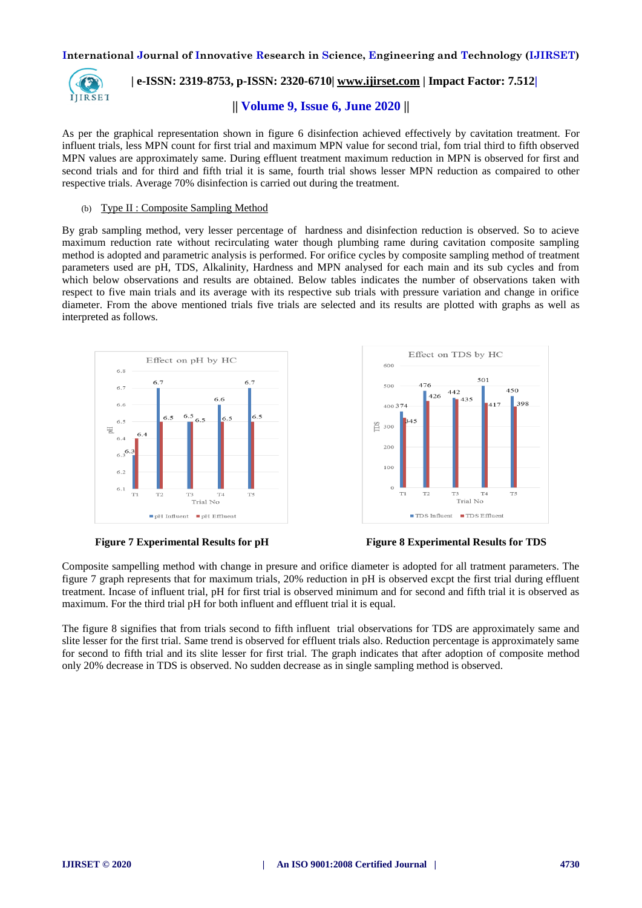

## **| e-ISSN: 2319-8753, p-ISSN: 2320-6710| [www.ijirset.com](http://www.ijirset.com/) | Impact Factor: 7.512|**

#### **|| Volume 9, Issue 6, June 2020 ||**

As per the graphical representation shown in figure 6 disinfection achieved effectively by cavitation treatment. For influent trials, less MPN count for first trial and maximum MPN value for second trial, fom trial third to fifth observed MPN values are approximately same. During effluent treatment maximum reduction in MPN is observed for first and second trials and for third and fifth trial it is same, fourth trial shows lesser MPN reduction as compaired to other respective trials. Average 70% disinfection is carried out during the treatment.

#### (b) Type II : Composite Sampling Method

By grab sampling method, very lesser percentage of hardness and disinfection reduction is observed. So to acieve maximum reduction rate without recirculating water though plumbing rame during cavitation composite sampling method is adopted and parametric analysis is performed. For orifice cycles by composite sampling method of treatment parameters used are pH, TDS, Alkalinity, Hardness and MPN analysed for each main and its sub cycles and from which below observations and results are obtained. Below tables indicates the number of observations taken with respect to five main trials and its average with its respective sub trials with pressure variation and change in orifice diameter. From the above mentioned trials five trials are selected and its results are plotted with graphs as well as interpreted as follows.





**Figure 7 Experimental Results for pH Figure 8 Experimental Results for TDS**

Composite sampelling method with change in presure and orifice diameter is adopted for all tratment parameters. The figure 7 graph represents that for maximum trials, 20% reduction in pH is observed excpt the first trial during effluent treatment. Incase of influent trial, pH for first trial is observed minimum and for second and fifth trial it is observed as maximum. For the third trial pH for both influent and effluent trial it is equal.

The figure 8 signifies that from trials second to fifth influent trial observations for TDS are approximately same and slite lesser for the first trial. Same trend is observed for effluent trials also. Reduction percentage is approximately same for second to fifth trial and its slite lesser for first trial. The graph indicates that after adoption of composite method only 20% decrease in TDS is observed. No sudden decrease as in single sampling method is observed.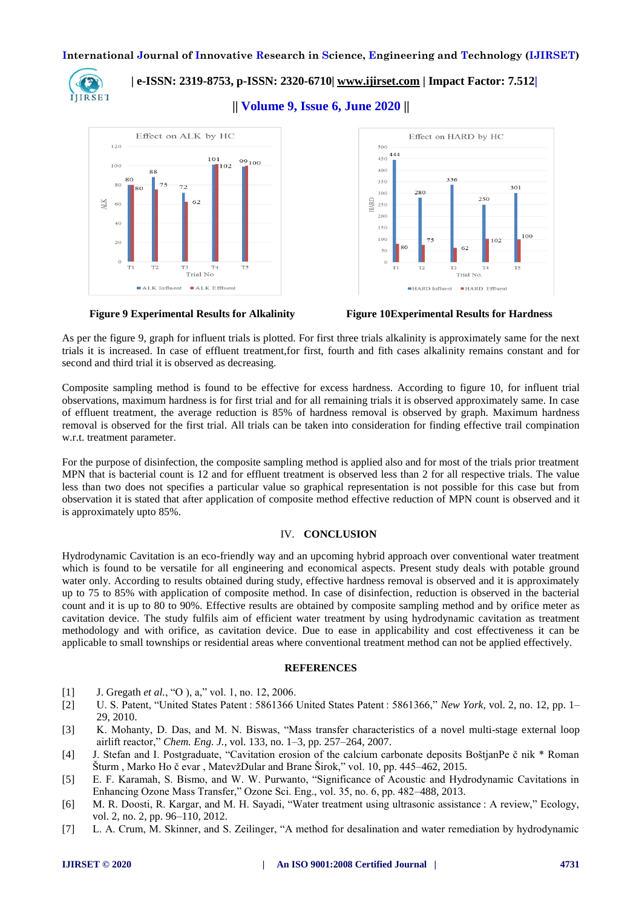

 **| e-ISSN: 2319-8753, p-ISSN: 2320-6710| [www.ijirset.com](http://www.ijirset.com/) | Impact Factor: 7.512|**

**|| Volume 9, Issue 6, June 2020 ||** 





As per the figure 9, graph for influent trials is plotted. For first three trials alkalinity is approximately same for the next trials it is increased. In case of effluent treatment,for first, fourth and fith cases alkalinity remains constant and for second and third trial it is observed as decreasing.

Composite sampling method is found to be effective for excess hardness. According to figure 10, for influent trial observations, maximum hardness is for first trial and for all remaining trials it is observed approximately same. In case of effluent treatment, the average reduction is 85% of hardness removal is observed by graph. Maximum hardness removal is observed for the first trial. All trials can be taken into consideration for finding effective trail compination w.r.t. treatment parameter.

For the purpose of disinfection, the composite sampling method is applied also and for most of the trials prior treatment MPN that is bacterial count is 12 and for effluent treatment is observed less than 2 for all respective trials. The value less than two does not specifies a particular value so graphical representation is not possible for this case but from observation it is stated that after application of composite method effective reduction of MPN count is observed and it is approximately upto 85%.

#### IV. **CONCLUSION**

Hydrodynamic Cavitation is an eco-friendly way and an upcoming hybrid approach over conventional water treatment which is found to be versatile for all engineering and economical aspects. Present study deals with potable ground water only. According to results obtained during study, effective hardness removal is observed and it is approximately up to 75 to 85% with application of composite method. In case of disinfection, reduction is observed in the bacterial count and it is up to 80 to 90%. Effective results are obtained by composite sampling method and by orifice meter as cavitation device. The study fulfils aim of efficient water treatment by using hydrodynamic cavitation as treatment methodology and with orifice, as cavitation device. Due to ease in applicability and cost effectiveness it can be applicable to small townships or residential areas where conventional treatment method can not be applied effectively.

#### **REFERENCES**

- [1] J. Gregath *et al.*, "O ), a," vol. 1, no. 12, 2006.
- [2] U. S. Patent, "United States Patent : 5861366 United States Patent : 5861366," *New York*, vol. 2, no. 12, pp. 1– 29, 2010.
- [3] K. Mohanty, D. Das, and M. N. Biswas, "Mass transfer characteristics of a novel multi-stage external loop airlift reactor," *Chem. Eng. J.*, vol. 133, no. 1–3, pp. 257–264, 2007.
- [4] J. Stefan and I. Postgraduate, "Cavitation erosion of the calcium carbonate deposits BoštjanPe č nik \* Roman Šturm , Marko Ho č evar , MatevžDular and Brane Širok," vol. 10, pp. 445–462, 2015.
- [5] E. F. Karamah, S. Bismo, and W. W. Purwanto, "Significance of Acoustic and Hydrodynamic Cavitations in Enhancing Ozone Mass Transfer," Ozone Sci. Eng., vol. 35, no. 6, pp. 482–488, 2013.
- [6] M. R. Doosti, R. Kargar, and M. H. Sayadi, "Water treatment using ultrasonic assistance : A review," Ecology, vol. 2, no. 2, pp. 96–110, 2012.
- [7] L. A. Crum, M. Skinner, and S. Zeilinger, "A method for desalination and water remediation by hydrodynamic